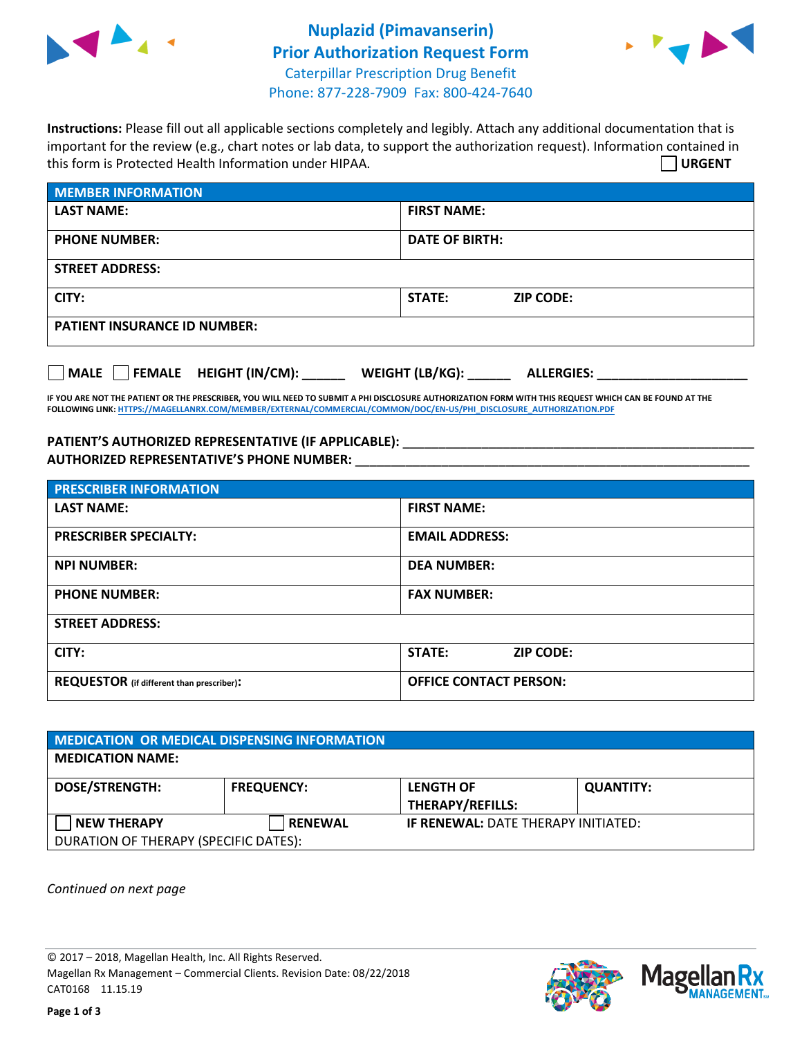

## **Nuplazid (Pimavanserin) Prior Authorization Request Form** Caterpillar Prescription Drug Benefit Phone: 877-228-7909 Fax: 800-424-7640



**Instructions:** Please fill out all applicable sections completely and legibly. Attach any additional documentation that is important for the review (e.g., chart notes or lab data, to support the authorization request). Information contained in this form is Protected Health Information under HIPAA. **URGENT**

| <b>MEMBER INFORMATION</b>           |                                   |  |  |  |
|-------------------------------------|-----------------------------------|--|--|--|
| <b>LAST NAME:</b>                   | <b>FIRST NAME:</b>                |  |  |  |
| <b>PHONE NUMBER:</b>                | <b>DATE OF BIRTH:</b>             |  |  |  |
| <b>STREET ADDRESS:</b>              |                                   |  |  |  |
| CITY:                               | <b>STATE:</b><br><b>ZIP CODE:</b> |  |  |  |
| <b>PATIENT INSURANCE ID NUMBER:</b> |                                   |  |  |  |

**MALE FEMALE HEIGHT (IN/CM): \_\_\_\_\_\_ WEIGHT (LB/KG): \_\_\_\_\_\_ ALLERGIES: \_\_\_\_\_\_\_\_\_\_\_\_\_\_\_\_\_\_\_\_\_**

**IF YOU ARE NOT THE PATIENT OR THE PRESCRIBER, YOU WILL NEED TO SUBMIT A PHI DISCLOSURE AUTHORIZATION FORM WITH THIS REQUEST WHICH CAN BE FOUND AT THE FOLLOWING LINK[: HTTPS://MAGELLANRX.COM/MEMBER/EXTERNAL/COMMERCIAL/COMMON/DOC/EN-US/PHI\\_DISCLOSURE\\_AUTHORIZATION.PDF](https://magellanrx.com/member/external/commercial/common/doc/en-us/PHI_Disclosure_Authorization.pdf)**

### **PATIENT'S AUTHORIZED REPRESENTATIVE (IF APPLICABLE):** \_\_\_\_\_\_\_\_\_\_\_\_\_\_\_\_\_\_\_\_\_\_\_\_\_\_\_\_\_\_\_\_\_\_\_\_\_\_\_\_\_\_\_\_\_\_\_\_\_ **AUTHORIZED REPRESENTATIVE'S PHONE NUMBER:** \_\_\_\_\_\_\_\_\_\_\_\_\_\_\_\_\_\_\_\_\_\_\_\_\_\_\_\_\_\_\_\_\_\_\_\_\_\_\_\_\_\_\_\_\_\_\_\_\_\_\_\_\_\_\_

| <b>PRESCRIBER INFORMATION</b>             |                               |  |  |  |
|-------------------------------------------|-------------------------------|--|--|--|
| <b>LAST NAME:</b>                         | <b>FIRST NAME:</b>            |  |  |  |
| <b>PRESCRIBER SPECIALTY:</b>              | <b>EMAIL ADDRESS:</b>         |  |  |  |
| <b>NPI NUMBER:</b>                        | <b>DEA NUMBER:</b>            |  |  |  |
| <b>PHONE NUMBER:</b>                      | <b>FAX NUMBER:</b>            |  |  |  |
| <b>STREET ADDRESS:</b>                    |                               |  |  |  |
| CITY:                                     | STATE:<br><b>ZIP CODE:</b>    |  |  |  |
| REQUESTOR (if different than prescriber): | <b>OFFICE CONTACT PERSON:</b> |  |  |  |

| MEDICATION OR MEDICAL DISPENSING INFORMATION                |                   |                                             |                  |  |  |
|-------------------------------------------------------------|-------------------|---------------------------------------------|------------------|--|--|
| <b>MEDICATION NAME:</b>                                     |                   |                                             |                  |  |  |
| <b>DOSE/STRENGTH:</b>                                       | <b>FREQUENCY:</b> | <b>LENGTH OF</b><br><b>THERAPY/REFILLS:</b> | <b>QUANTITY:</b> |  |  |
| <b>NEW THERAPY</b><br>DURATION OF THERAPY (SPECIFIC DATES): | <b>RENEWAL</b>    | <b>IF RENEWAL: DATE THERAPY INITIATED:</b>  |                  |  |  |

*Continued on next page*

© 2017 – 2018, Magellan Health, Inc. All Rights Reserved. Magellan Rx Management – Commercial Clients. Revision Date: 08/22/2018 CAT0168 11.15.19

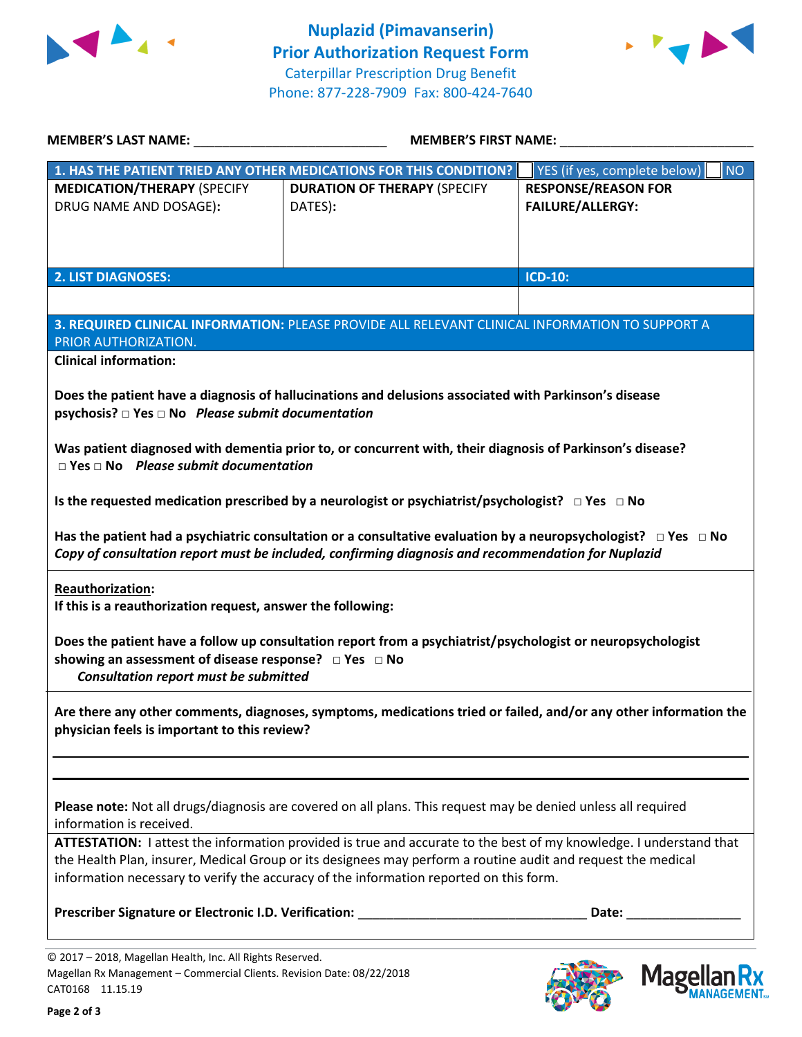



| <b>MEMBER'S LAST NAME:</b> NAME:<br><b>MEMBER'S FIRST NAME:</b>                                                                                         |                                                                                                                                                                                                                                                                                                                              |                                                       |
|---------------------------------------------------------------------------------------------------------------------------------------------------------|------------------------------------------------------------------------------------------------------------------------------------------------------------------------------------------------------------------------------------------------------------------------------------------------------------------------------|-------------------------------------------------------|
|                                                                                                                                                         | 1. HAS THE PATIENT TRIED ANY OTHER MEDICATIONS FOR THIS CONDITION?                                                                                                                                                                                                                                                           | YES (if yes, complete below)<br><b>NO</b>             |
| <b>MEDICATION/THERAPY (SPECIFY</b><br>DRUG NAME AND DOSAGE):                                                                                            | <b>DURATION OF THERAPY (SPECIFY</b><br>DATES):                                                                                                                                                                                                                                                                               | <b>RESPONSE/REASON FOR</b><br><b>FAILURE/ALLERGY:</b> |
| <b>2. LIST DIAGNOSES:</b>                                                                                                                               |                                                                                                                                                                                                                                                                                                                              | ICD-10:                                               |
|                                                                                                                                                         |                                                                                                                                                                                                                                                                                                                              |                                                       |
| PRIOR AUTHORIZATION.                                                                                                                                    | 3. REQUIRED CLINICAL INFORMATION: PLEASE PROVIDE ALL RELEVANT CLINICAL INFORMATION TO SUPPORT A                                                                                                                                                                                                                              |                                                       |
| <b>Clinical information:</b>                                                                                                                            |                                                                                                                                                                                                                                                                                                                              |                                                       |
| psychosis? $\square$ Yes $\square$ No Please submit documentation                                                                                       | Does the patient have a diagnosis of hallucinations and delusions associated with Parkinson's disease                                                                                                                                                                                                                        |                                                       |
| $\Box$ Yes $\Box$ No Please submit documentation                                                                                                        | Was patient diagnosed with dementia prior to, or concurrent with, their diagnosis of Parkinson's disease?                                                                                                                                                                                                                    |                                                       |
|                                                                                                                                                         | Is the requested medication prescribed by a neurologist or psychiatrist/psychologist? $\Box$ Yes $\Box$ No                                                                                                                                                                                                                   |                                                       |
|                                                                                                                                                         | Has the patient had a psychiatric consultation or a consultative evaluation by a neuropsychologist? $\Box$ Yes $\Box$ No<br>Copy of consultation report must be included, confirming diagnosis and recommendation for Nuplazid                                                                                               |                                                       |
| Reauthorization:<br>If this is a reauthorization request, answer the following:                                                                         |                                                                                                                                                                                                                                                                                                                              |                                                       |
| showing an assessment of disease response? □ Yes □ No<br>Consultation report must be submitted                                                          | Does the patient have a follow up consultation report from a psychiatrist/psychologist or neuropsychologist                                                                                                                                                                                                                  |                                                       |
| physician feels is important to this review?                                                                                                            | Are there any other comments, diagnoses, symptoms, medications tried or failed, and/or any other information the                                                                                                                                                                                                             |                                                       |
|                                                                                                                                                         |                                                                                                                                                                                                                                                                                                                              |                                                       |
| information is received.                                                                                                                                | Please note: Not all drugs/diagnosis are covered on all plans. This request may be denied unless all required                                                                                                                                                                                                                |                                                       |
|                                                                                                                                                         | ATTESTATION: I attest the information provided is true and accurate to the best of my knowledge. I understand that<br>the Health Plan, insurer, Medical Group or its designees may perform a routine audit and request the medical<br>information necessary to verify the accuracy of the information reported on this form. |                                                       |
| Prescriber Signature or Electronic I.D. Verification:                                                                                                   |                                                                                                                                                                                                                                                                                                                              | Date:                                                 |
| © 2017 - 2018, Magellan Health, Inc. All Rights Reserved.<br>Magellan Rx Management - Commercial Clients. Revision Date: 08/22/2018<br>CAT0168 11.15.19 |                                                                                                                                                                                                                                                                                                                              | <b>Magellar</b>                                       |